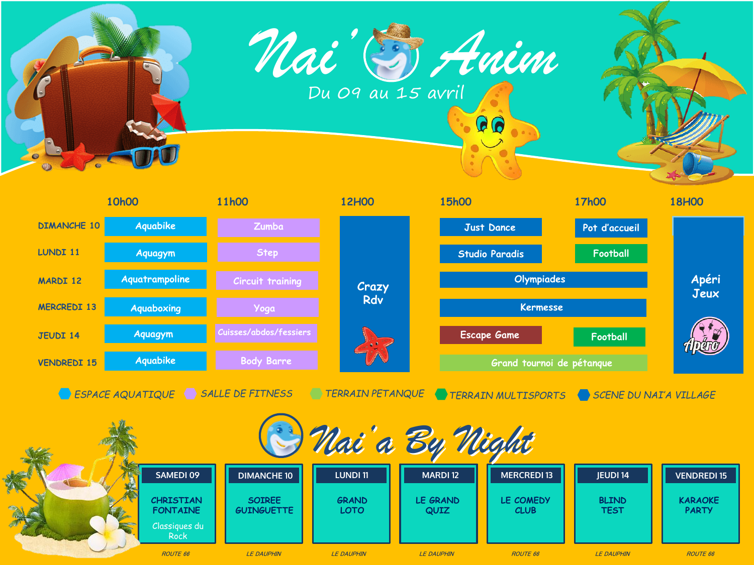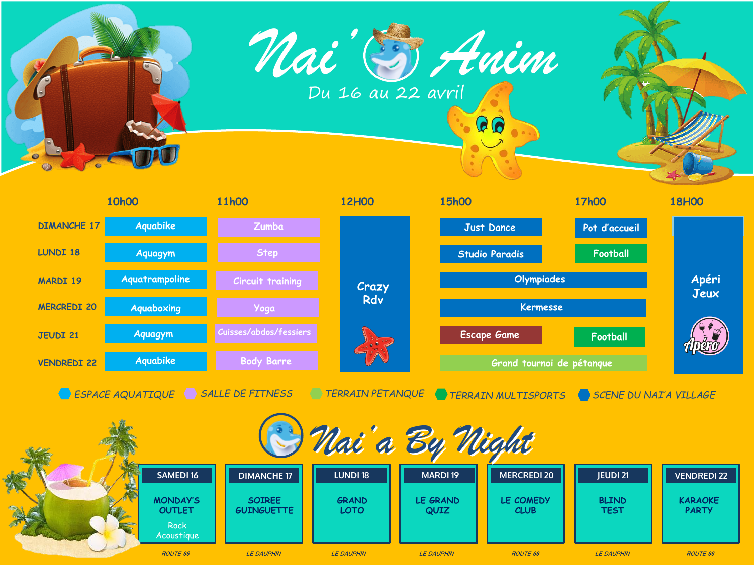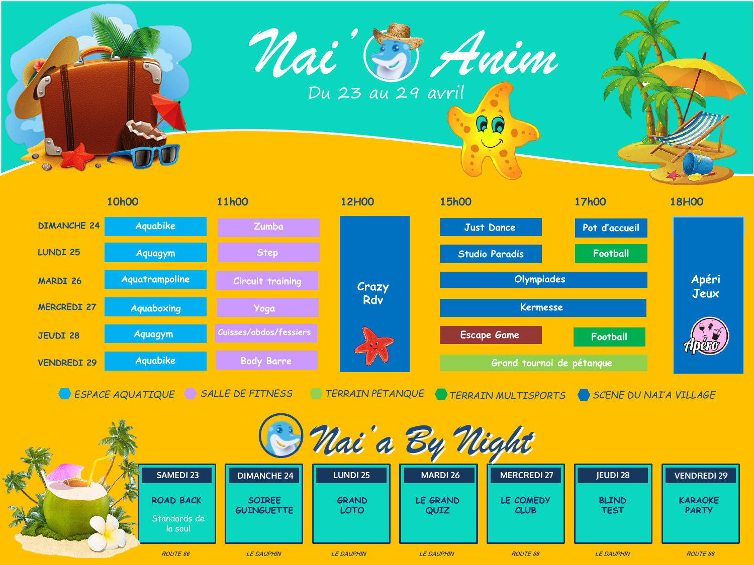